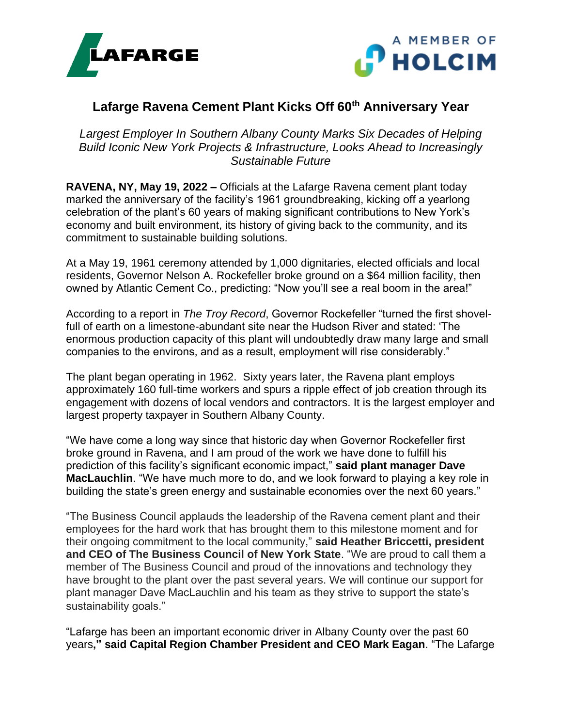



## **Lafarge Ravena Cement Plant Kicks Off 60th Anniversary Year**

*Largest Employer In Southern Albany County Marks Six Decades of Helping Build Iconic New York Projects & Infrastructure, Looks Ahead to Increasingly Sustainable Future*

**RAVENA, NY, May 19, 2022 –** Officials at the Lafarge Ravena cement plant today marked the anniversary of the facility's 1961 groundbreaking, kicking off a yearlong celebration of the plant's 60 years of making significant contributions to New York's economy and built environment, its history of giving back to the community, and its commitment to sustainable building solutions.

At a May 19, 1961 ceremony attended by 1,000 dignitaries, elected officials and local residents, Governor Nelson A. Rockefeller broke ground on a \$64 million facility, then owned by Atlantic Cement Co., predicting: "Now you'll see a real boom in the area!"

According to a report in *The Troy Record*, Governor Rockefeller "turned the first shovelfull of earth on a limestone-abundant site near the Hudson River and stated: 'The enormous production capacity of this plant will undoubtedly draw many large and small companies to the environs, and as a result, employment will rise considerably."

The plant began operating in 1962. Sixty years later, the Ravena plant employs approximately 160 full-time workers and spurs a ripple effect of job creation through its engagement with dozens of local vendors and contractors. It is the largest employer and largest property taxpayer in Southern Albany County.

"We have come a long way since that historic day when Governor Rockefeller first broke ground in Ravena, and I am proud of the work we have done to fulfill his prediction of this facility's significant economic impact," **said plant manager Dave MacLauchlin**. "We have much more to do, and we look forward to playing a key role in building the state's green energy and sustainable economies over the next 60 years."

"The Business Council applauds the leadership of the Ravena cement plant and their employees for the hard work that has brought them to this milestone moment and for their ongoing commitment to the local community," **said Heather Briccetti, president and CEO of The Business Council of New York State**. "We are proud to call them a member of The Business Council and proud of the innovations and technology they have brought to the plant over the past several years. We will continue our support for plant manager Dave MacLauchlin and his team as they strive to support the state's sustainability goals."

"Lafarge has been an important economic driver in Albany County over the past 60 years**," said Capital Region Chamber President and CEO Mark Eagan**. "The Lafarge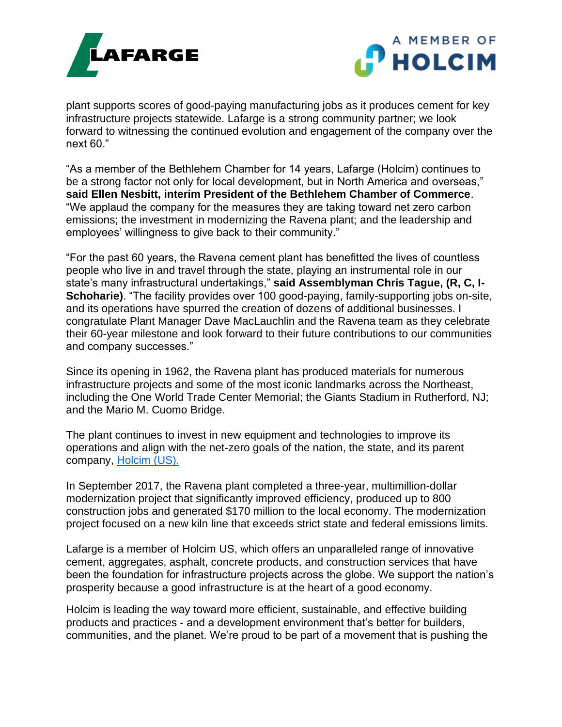



plant supports scores of good-paying manufacturing jobs as it produces cement for key infrastructure projects statewide. Lafarge is a strong community partner; we look forward to witnessing the continued evolution and engagement of the company over the next 60."

"As a member of the Bethlehem Chamber for 14 years, Lafarge (Holcim) continues to be a strong factor not only for local development, but in North America and overseas," **said Ellen Nesbitt, interim President of the Bethlehem Chamber of Commerce**. "We applaud the company for the measures they are taking toward net zero carbon emissions; the investment in modernizing the Ravena plant; and the leadership and employees' willingness to give back to their community."

"For the past 60 years, the Ravena cement plant has benefitted the lives of countless people who live in and travel through the state, playing an instrumental role in our state's many infrastructural undertakings," **said Assemblyman Chris Tague, (R, C, I-Schoharie)**. "The facility provides over 100 good-paying, family-supporting jobs on-site, and its operations have spurred the creation of dozens of additional businesses. I congratulate Plant Manager Dave MacLauchlin and the Ravena team as they celebrate their 60-year milestone and look forward to their future contributions to our communities and company successes."

Since its opening in 1962, the Ravena plant has produced materials for numerous infrastructure projects and some of the most iconic landmarks across the Northeast, including the One World Trade Center Memorial; the Giants Stadium in Rutherford, NJ; and the Mario M. Cuomo Bridge.

The plant continues to invest in new equipment and technologies to improve its operations and align with the net-zero goals of the nation, the state, and its parent company, [Holcim \(US\).](https://www.holcim.us/)

In September 2017, the Ravena plant completed a three-year, multimillion-dollar modernization project that significantly improved efficiency, produced up to 800 construction jobs and generated \$170 million to the local economy. The modernization project focused on a new kiln line that exceeds strict state and federal emissions limits.

Lafarge is a member of Holcim US, which offers an unparalleled range of innovative cement, aggregates, asphalt, concrete products, and construction services that have been the foundation for infrastructure projects across the globe. We support the nation's prosperity because a good infrastructure is at the heart of a good economy.

Holcim is leading the way toward more efficient, sustainable, and effective building products and practices - and a development environment that's better for builders, communities, and the planet. We're proud to be part of a movement that is pushing the